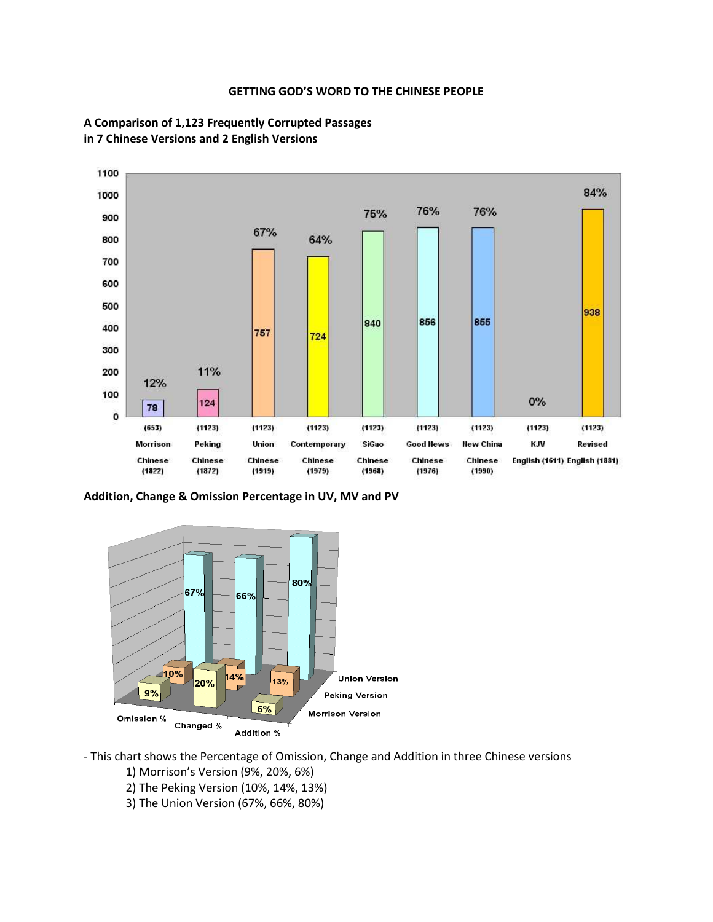### **GETTING GOD'S WORD TO THE CHINESE PEOPLE**





**Addition, Change & Omission Percentage in UV, MV and PV**



- This chart shows the Percentage of Omission, Change and Addition in three Chinese versions
	- 1) Morrison's Version (9%, 20%, 6%)
	- 2) The Peking Version (10%, 14%, 13%)
	- 3) The Union Version (67%, 66%, 80%)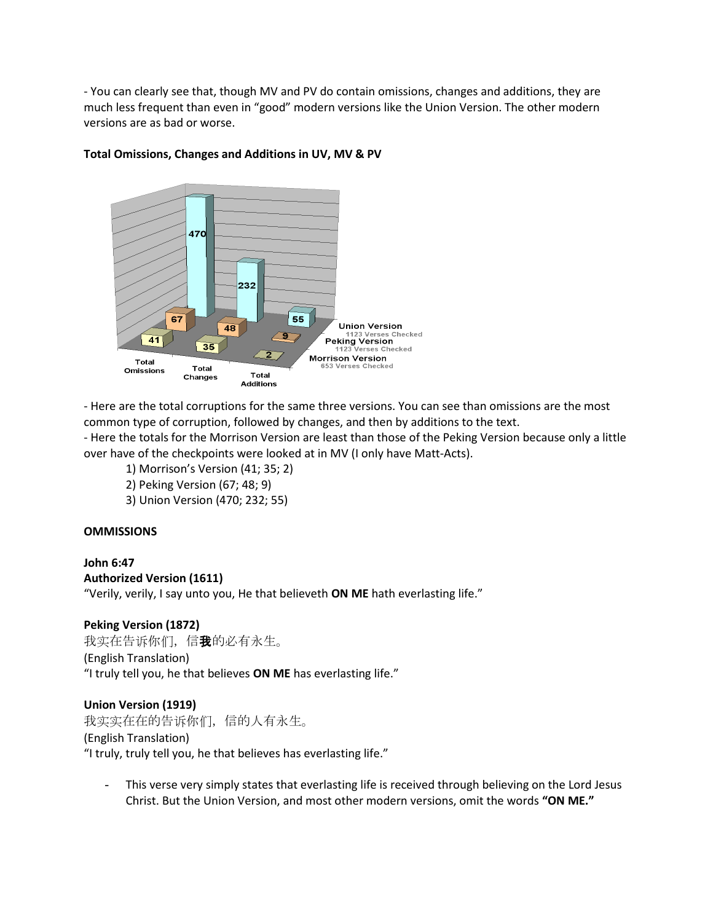- You can clearly see that, though MV and PV do contain omissions, changes and additions, they are much less frequent than even in "good" modern versions like the Union Version. The other modern versions are as bad or worse.



## **Total Omissions, Changes and Additions in UV, MV & PV**

- Here are the total corruptions for the same three versions. You can see than omissions are the most common type of corruption, followed by changes, and then by additions to the text.

- Here the totals for the Morrison Version are least than those of the Peking Version because only a little over have of the checkpoints were looked at in MV (I only have Matt-Acts).

- 1) Morrison's Version (41; 35; 2)
- 2) Peking Version (67; 48; 9)
- 3) Union Version (470; 232; 55)

### **OMMISSIONS**

### **John 6:47 Authorized Version (1611)**

"Verily, verily, I say unto you, He that believeth **ON ME** hath everlasting life."

## **Peking Version (1872)**

我实在告诉你们, 信**我**的必有永生。 (English Translation) "I truly tell you, he that believes **ON ME** has everlasting life."

### **Union Version (1919)**

我实实在在的告诉你们,信的人有永生。 (English Translation) "I truly, truly tell you, he that believes has everlasting life."

This verse very simply states that everlasting life is received through believing on the Lord Jesus Christ. But the Union Version, and most other modern versions, omit the words **"ON ME."**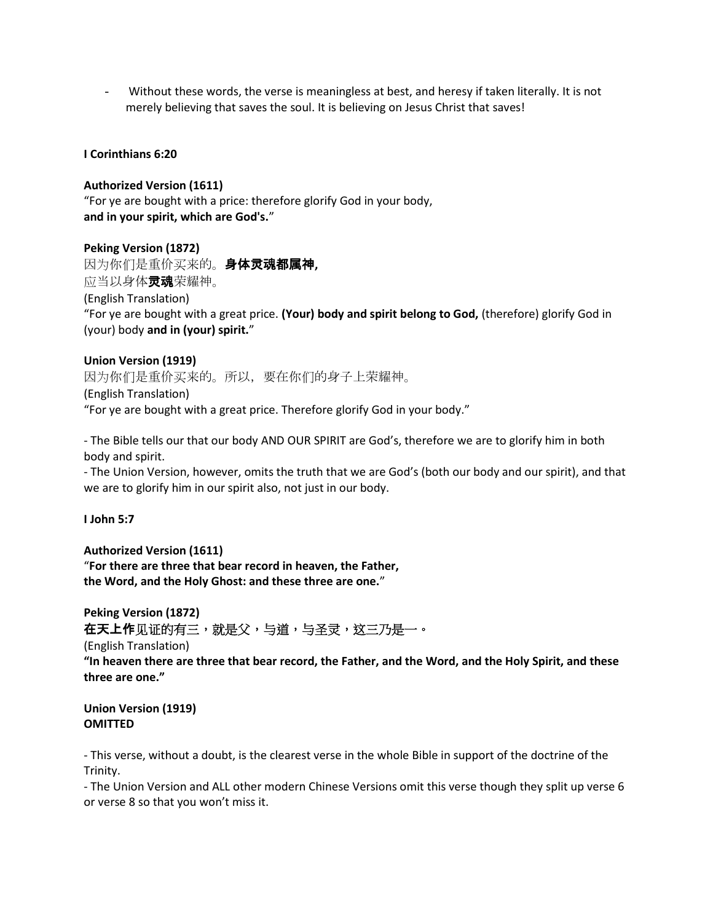Without these words, the verse is meaningless at best, and heresy if taken literally. It is not merely believing that saves the soul. It is believing on Jesus Christ that saves!

## **I Corinthians 6:20**

## **Authorized Version (1611)**

"For ye are bought with a price: therefore glorify God in your body, **and in your spirit, which are God's.**"

## **Peking Version (1872)**

因为你们是重价买来的。身体灵魂都属神**,** 应当以身体灵魂荣耀神。 (English Translation) "For ye are bought with a great price. **(Your) body and spirit belong to God,** (therefore) glorify God in (your) body **and in (your) spirit.**"

## **Union Version (1919)**

因为你们是重价买来的。所以,要在你们的身子上荣耀神。 (English Translation) "For ye are bought with a great price. Therefore glorify God in your body."

- The Bible tells our that our body AND OUR SPIRIT are God's, therefore we are to glorify him in both body and spirit.

- The Union Version, however, omits the truth that we are God's (both our body and our spirit), and that we are to glorify him in our spirit also, not just in our body.

**I John 5:7**

**Authorized Version (1611)** "**For there are three that bear record in heaven, the Father, the Word, and the Holy Ghost: and these three are one.**"

**Peking Version (1872)** 在天上作见证的有三,就是父,与道,与圣灵,这三乃是一。

(English Translation)

**"In heaven there are three that bear record, the Father, and the Word, and the Holy Spirit, and these three are one."**

**Union Version (1919) OMITTED**

- This verse, without a doubt, is the clearest verse in the whole Bible in support of the doctrine of the Trinity.

- The Union Version and ALL other modern Chinese Versions omit this verse though they split up verse 6 or verse 8 so that you won't miss it.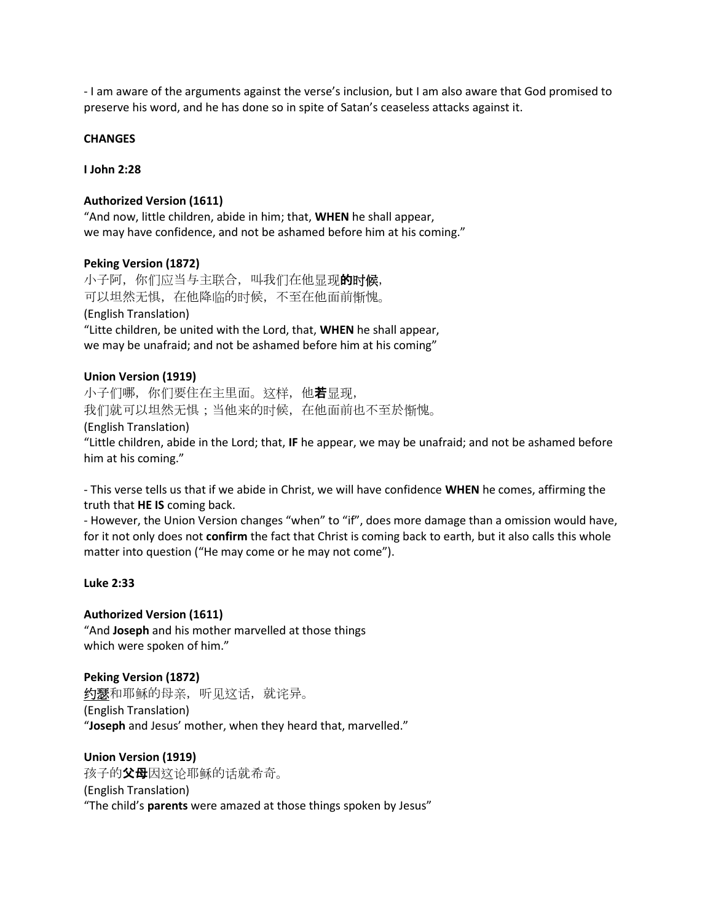- I am aware of the arguments against the verse's inclusion, but I am also aware that God promised to preserve his word, and he has done so in spite of Satan's ceaseless attacks against it.

### **CHANGES**

**I John 2:28**

### **Authorized Version (1611)**

"And now, little children, abide in him; that, **WHEN** he shall appear, we may have confidence, and not be ashamed before him at his coming."

### **Peking Version (1872)**

小子阿,你们应当与主联合,叫我们在他显现**的时候**, 可以坦然无惧,在他降临的时候,不至在他面前惭愧。 (English Translation) "Litte children, be united with the Lord, that, **WHEN** he shall appear, we may be unafraid; and not be ashamed before him at his coming"

### **Union Version (1919)**

小子们哪,你们要住在主里面。这样,他若显现, 我们就可以坦然无惧;当他来的时候,在他面前也不至於惭愧。 (English Translation) "Little children, abide in the Lord; that, **IF** he appear, we may be unafraid; and not be ashamed before him at his coming."

- This verse tells us that if we abide in Christ, we will have confidence **WHEN** he comes, affirming the truth that **HE IS** coming back.

- However, the Union Version changes "when" to "if", does more damage than a omission would have, for it not only does not **confirm** the fact that Christ is coming back to earth, but it also calls this whole matter into question ("He may come or he may not come").

### **Luke 2:33**

**Authorized Version (1611)** "And **Joseph** and his mother marvelled at those things which were spoken of him."

**Peking Version (1872) 约瑟**和耶稣的母亲,听见这话,就诧异。 (English Translation) "**Joseph** and Jesus' mother, when they heard that, marvelled."

**Union Version (1919)** 孩子的**父母**因这论耶稣的话就希奇。 (English Translation) "The child's **parents** were amazed at those things spoken by Jesus"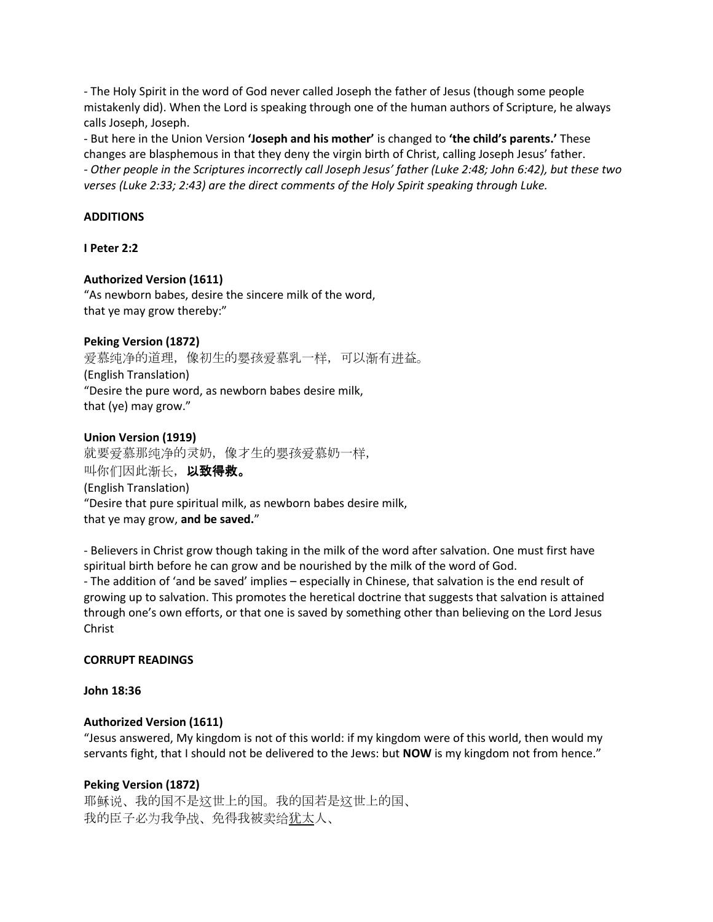- The Holy Spirit in the word of God never called Joseph the father of Jesus (though some people mistakenly did). When the Lord is speaking through one of the human authors of Scripture, he always calls Joseph, Joseph.

- But here in the Union Version **'Joseph and his mother'** is changed to **'the child's parents.'** These changes are blasphemous in that they deny the virgin birth of Christ, calling Joseph Jesus' father. *- Other people in the Scriptures incorrectly call Joseph Jesus' father (Luke 2:48; John 6:42), but these two verses (Luke 2:33; 2:43) are the direct comments of the Holy Spirit speaking through Luke.*

## **ADDITIONS**

## **I Peter 2:2**

## **Authorized Version (1611)**

"As newborn babes, desire the sincere milk of the word, that ye may grow thereby:"

### **Peking Version (1872)**

爱慕纯净的道理,像初生的婴孩爱慕乳一样,可以渐有进益。 (English Translation) "Desire the pure word, as newborn babes desire milk, that (ye) may grow."

### **Union Version (1919)**

就要爱慕那纯净的灵奶,像才生的婴孩爱慕奶一样, 叫你们因此渐长,以致得救。 (English Translation) "Desire that pure spiritual milk, as newborn babes desire milk, that ye may grow, **and be saved.**"

- Believers in Christ grow though taking in the milk of the word after salvation. One must first have spiritual birth before he can grow and be nourished by the milk of the word of God. - The addition of 'and be saved' implies – especially in Chinese, that salvation is the end result of growing up to salvation. This promotes the heretical doctrine that suggests that salvation is attained through one's own efforts, or that one is saved by something other than believing on the Lord Jesus Christ

### **CORRUPT READINGS**

### **John 18:36**

## **Authorized Version (1611)**

"Jesus answered, My kingdom is not of this world: if my kingdom were of this world, then would my servants fight, that I should not be delivered to the Jews: but **NOW** is my kingdom not from hence."

### **Peking Version (1872)**

耶稣说、我的国不是这世上的国。我的国若是这世上的国、 我的臣子必为我争战、免得我被卖给犹太人、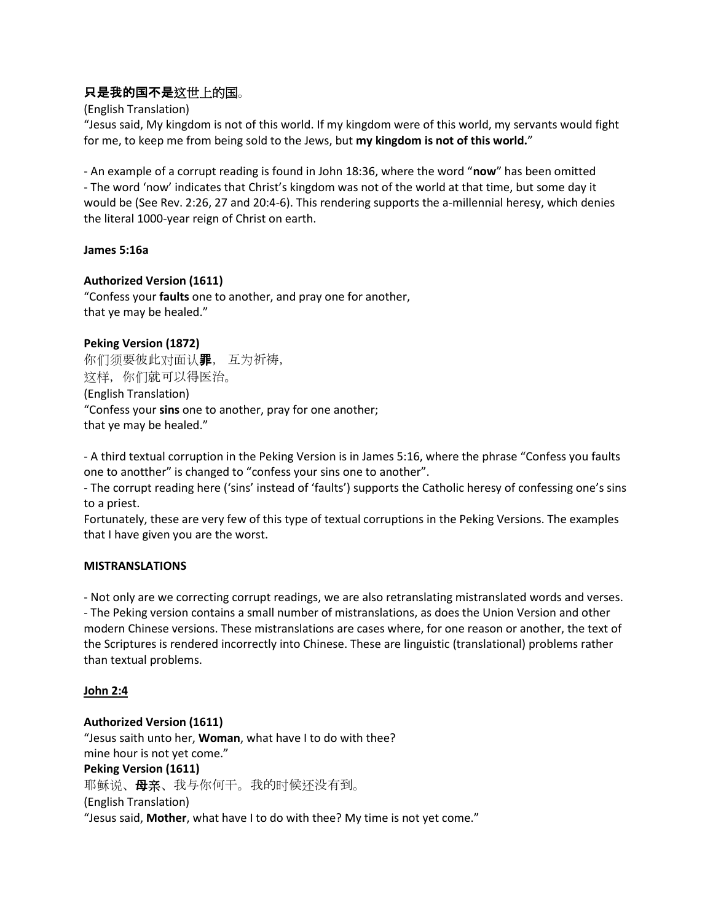# 只是我的国不是这世上的国。

(English Translation)

"Jesus said, My kingdom is not of this world. If my kingdom were of this world, my servants would fight for me, to keep me from being sold to the Jews, but **my kingdom is not of this world.**"

- An example of a corrupt reading is found in John 18:36, where the word "**now**" has been omitted - The word 'now' indicates that Christ's kingdom was not of the world at that time, but some day it would be (See Rev. 2:26, 27 and 20:4-6). This rendering supports the a-millennial heresy, which denies the literal 1000-year reign of Christ on earth.

## **James 5:16a**

## **Authorized Version (1611)**

"Confess your **faults** one to another, and pray one for another, that ye may be healed."

## **Peking Version (1872)**

你们须要彼此对面认罪, 互为祈祷, 这样,你们就可以得医治。 (English Translation) "Confess your **sins** one to another, pray for one another; that ye may be healed."

- A third textual corruption in the Peking Version is in James 5:16, where the phrase "Confess you faults one to anotther" is changed to "confess your sins one to another".

- The corrupt reading here ('sins' instead of 'faults') supports the Catholic heresy of confessing one's sins to a priest.

Fortunately, these are very few of this type of textual corruptions in the Peking Versions. The examples that I have given you are the worst.

## **MISTRANSLATIONS**

- Not only are we correcting corrupt readings, we are also retranslating mistranslated words and verses. - The Peking version contains a small number of mistranslations, as does the Union Version and other modern Chinese versions. These mistranslations are cases where, for one reason or another, the text of the Scriptures is rendered incorrectly into Chinese. These are linguistic (translational) problems rather than textual problems.

## **John 2:4**

## **Authorized Version (1611)**

"Jesus saith unto her, **Woman**, what have I to do with thee? mine hour is not yet come." **Peking Version (1611)** 耶稣说、母亲、我与你何干。我的时候还没有到。 (English Translation) "Jesus said, **Mother**, what have I to do with thee? My time is not yet come."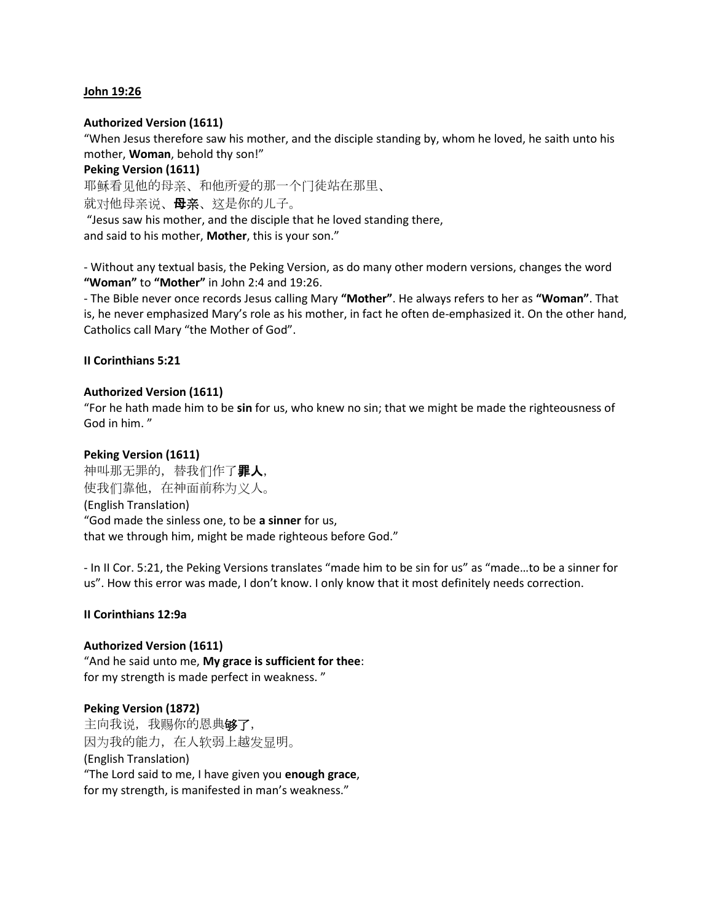### **John 19:26**

### **Authorized Version (1611)**

"When Jesus therefore saw his mother, and the disciple standing by, whom he loved, he saith unto his mother, **Woman**, behold thy son!"

### **Peking Version (1611)**

耶稣看见他的母亲、和他所爱的那一个门徒站在那里、 就对他母亲说、**母亲**、这是你的儿子。 "Jesus saw his mother, and the disciple that he loved standing there,

and said to his mother, **Mother**, this is your son."

- Without any textual basis, the Peking Version, as do many other modern versions, changes the word **"Woman"** to **"Mother"** in John 2:4 and 19:26.

- The Bible never once records Jesus calling Mary **"Mother"**. He always refers to her as **"Woman"**. That is, he never emphasized Mary's role as his mother, in fact he often de-emphasized it. On the other hand, Catholics call Mary "the Mother of God".

### **II Corinthians 5:21**

### **Authorized Version (1611)**

"For he hath made him to be **sin** for us, who knew no sin; that we might be made the righteousness of God in him. "

### **Peking Version (1611)**

神叫那无罪的,替我们作了罪人, 使我们靠他,在神面前称为义人。 (English Translation) "God made the sinless one, to be **a sinner** for us, that we through him, might be made righteous before God."

- In II Cor. 5:21, the Peking Versions translates "made him to be sin for us" as "made…to be a sinner for us". How this error was made, I don't know. I only know that it most definitely needs correction.

### **II Corinthians 12:9a**

## **Authorized Version (1611)**

"And he said unto me, **My grace is sufficient for thee**: for my strength is made perfect in weakness. "

### **Peking Version (1872)**

主向我说,我赐你的恩典够了, 因为我的能力,在人软弱上越发显明。 (English Translation) "The Lord said to me, I have given you **enough grace**, for my strength, is manifested in man's weakness."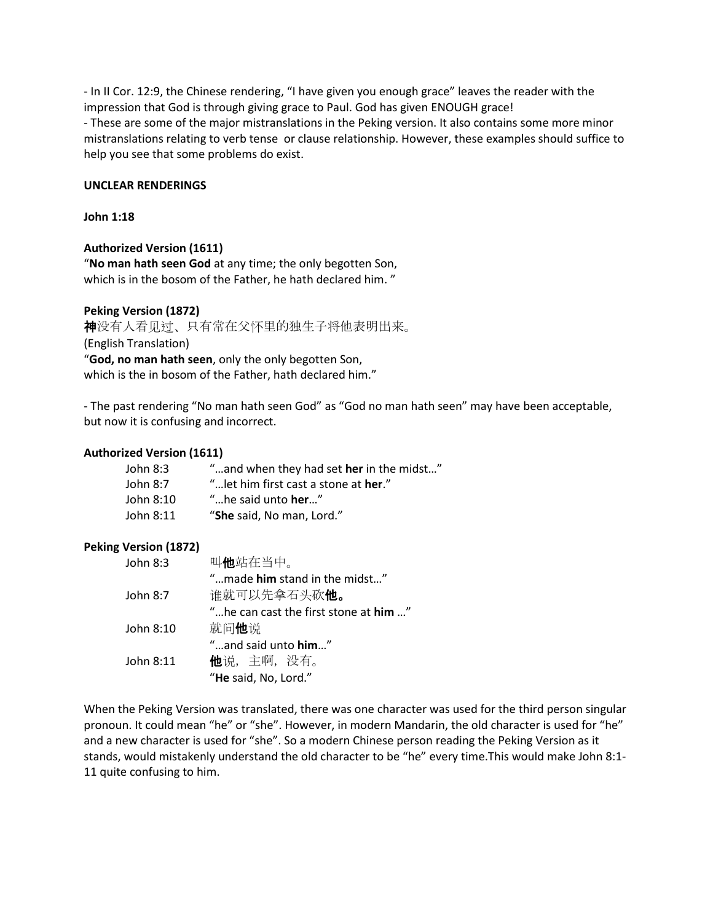- In II Cor. 12:9, the Chinese rendering, "I have given you enough grace" leaves the reader with the impression that God is through giving grace to Paul. God has given ENOUGH grace! - These are some of the major mistranslations in the Peking version. It also contains some more minor mistranslations relating to verb tense or clause relationship. However, these examples should suffice to help you see that some problems do exist.

### **UNCLEAR RENDERINGS**

### **John 1:18**

### **Authorized Version (1611)**

"**No man hath seen God** at any time; the only begotten Son, which is in the bosom of the Father, he hath declared him."

### **Peking Version (1872)**

神没有人看见过、只有常在父怀里的独生子将他表明出来。 (English Translation) "**God, no man hath seen**, only the only begotten Son, which is the in bosom of the Father, hath declared him."

- The past rendering "No man hath seen God" as "God no man hath seen" may have been acceptable, but now it is confusing and incorrect.

### **Authorized Version (1611)**

| John 8:3  | "and when they had set her in the midst"      |
|-----------|-----------------------------------------------|
| John 8:7  | " let him first cast a stone at <b>her.</b> " |
| John 8:10 | "he said unto <b>her.</b> "                   |
| John 8:11 | "She said, No man, Lord."                     |
|           |                                               |

## **Peking Version (1872)**

| John $8:3$ | 叫他站在当中。                               |
|------------|---------------------------------------|
|            | "made him stand in the midst"         |
| John 8:7   | 谁就可以先拿石头砍 <b>他。</b>                   |
|            | "he can cast the first stone at him " |
| John 8:10  | 就问他说                                  |
|            | "and said unto $him$ "                |
| John 8:11  | <b>他</b> 说,主啊,没有。                     |
|            | "He said, No, Lord."                  |

When the Peking Version was translated, there was one character was used for the third person singular pronoun. It could mean "he" or "she". However, in modern Mandarin, the old character is used for "he" and a new character is used for "she". So a modern Chinese person reading the Peking Version as it stands, would mistakenly understand the old character to be "he" every time.This would make John 8:1- 11 quite confusing to him.